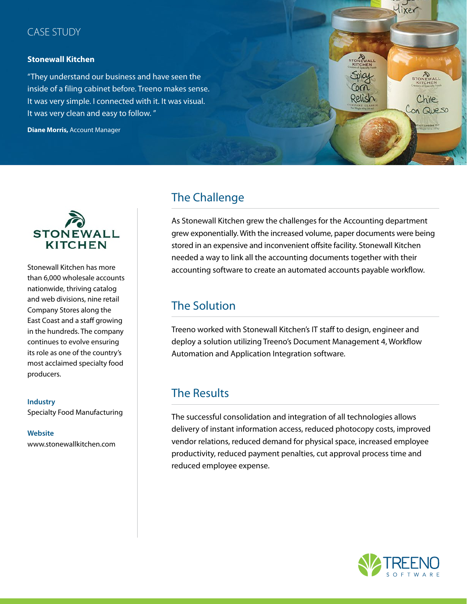### CASE STUDY

### **Stonewall Kitchen**

"They understand our business and have seen the inside of a filing cabinet before. Treeno makes sense. It was very simple. I connected with it. It was visual. It was very clean and easy to follow. "

**Diane Morris,** Account Manager





Stonewall Kitchen has more than 6,000 wholesale accounts nationwide, thriving catalog and web divisions, nine retail Company Stores along the East Coast and a staff growing in the hundreds. The company continues to evolve ensuring its role as one of the country's most acclaimed specialty food producers.

### **Industry** Specialty Food Manufacturing

#### **Website** www.stonewallkitchen.com

## The Challenge

As Stonewall Kitchen grew the challenges for the Accounting department grew exponentially. With the increased volume, paper documents were being stored in an expensive and inconvenient offsite facility. Stonewall Kitchen needed a way to link all the accounting documents together with their accounting software to create an automated accounts payable workflow.

# The Solution

Treeno worked with Stonewall Kitchen's IT staff to design, engineer and deploy a solution utilizing Treeno's Document Management 4, Workflow Automation and Application Integration software.

## The Results

The successful consolidation and integration of all technologies allows delivery of instant information access, reduced photocopy costs, improved vendor relations, reduced demand for physical space, increased employee productivity, reduced payment penalties, cut approval process time and reduced employee expense.